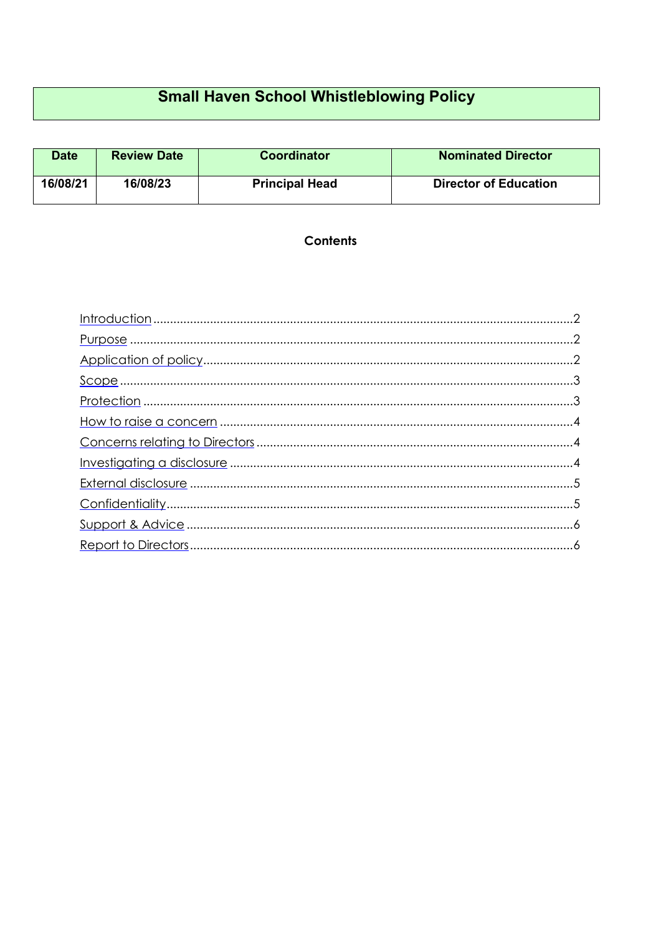# **Small Haven School Whistleblowing Policy**

| Date     | <b>Review Date</b> | <b>Coordinator</b>    | <b>Nominated Director</b>    |
|----------|--------------------|-----------------------|------------------------------|
| 16/08/21 | 16/08/23           | <b>Principal Head</b> | <b>Director of Education</b> |

# Contents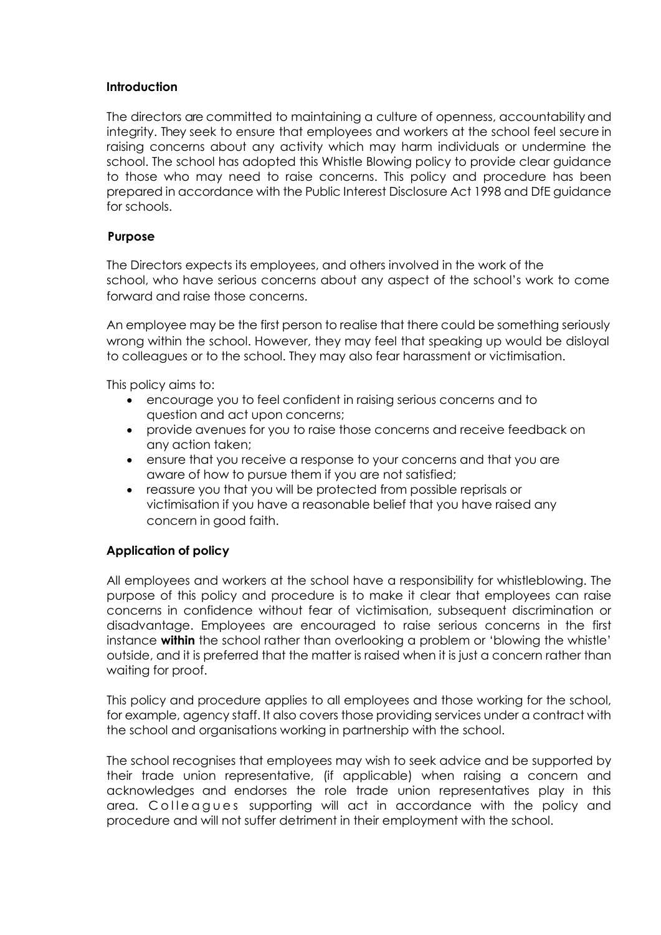#### <span id="page-1-0"></span>**Introduction**

The directors are committed to maintaining a culture of openness, accountabilityand integrity. They seek to ensure that employees and workers at the school feel secure in raising concerns about any activity which may harm individuals or undermine the school. The school has adopted this Whistle Blowing policy to provide clear guidance to those who may need to raise concerns. This policy and procedure has been prepared in accordance with the Public Interest Disclosure Act 1998 and DfE guidance for schools.

# <span id="page-1-1"></span>**Purpose**

The Directors expects its employees, and others involved in the work of the school, who have serious concerns about any aspect of the school's work to come forward and raise those concerns.

An employee may be the first person to realise that there could be something seriously wrong within the school. However, they may feel that speaking up would be disloyal to colleagues or to the school. They may also fear harassment or victimisation.

This policy aims to:

- encourage you to feel confident in raising serious concerns and to question and act upon concerns;
- provide avenues for you to raise those concerns and receive feedback on any action taken;
- ensure that you receive a response to your concerns and that you are aware of how to pursue them if you are not satisfied;
- reassure you that you will be protected from possible reprisals or victimisation if you have a reasonable belief that you have raised any concern in good faith.

# <span id="page-1-2"></span>**Application of policy**

All employees and workers at the school have a responsibility for whistleblowing. The purpose of this policy and procedure is to make it clear that employees can raise concerns in confidence without fear of victimisation, subsequent discrimination or disadvantage. Employees are encouraged to raise serious concerns in the first instance **within** the school rather than overlooking a problem or 'blowing the whistle' outside, and it is preferred that the matter is raised when it is just a concern rather than waiting for proof.

This policy and procedure applies to all employees and those working for the school, for example, agency staff. It also covers those providing services under a contract with the school and organisations working in partnership with the school.

The school recognises that employees may wish to seek advice and be supported by their trade union representative, (if applicable) when raising a concern and acknowledges and endorses the role trade union representatives play in this area. Colleagues supporting will act in accordance with the policy and procedure and will not suffer detriment in their employment with the school.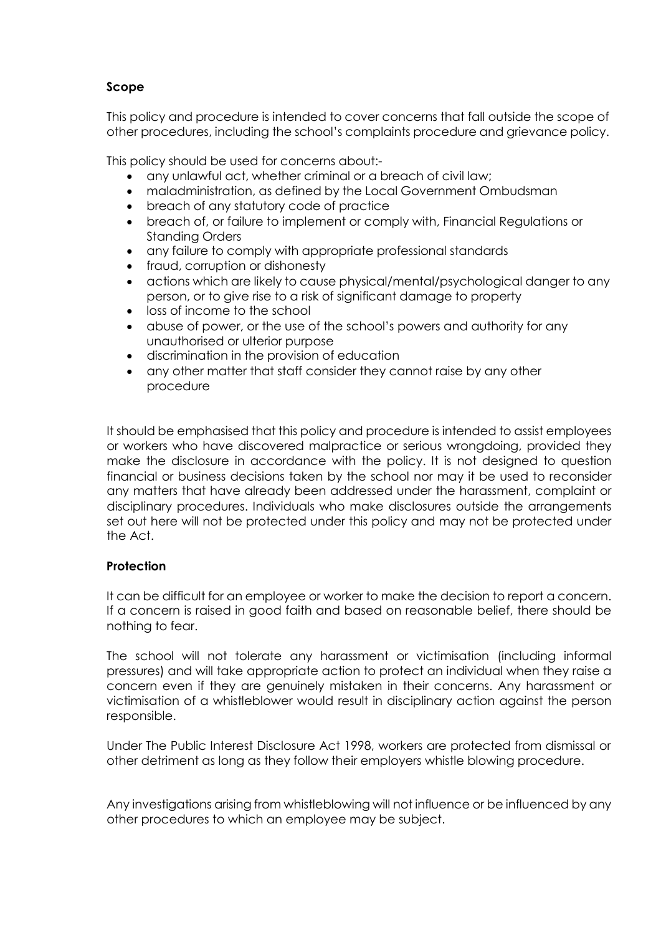# <span id="page-2-0"></span>**Scope**

This policy and procedure is intended to cover concerns that fall outside the scope of other procedures, including the school's complaints procedure and grievance policy.

This policy should be used for concerns about:-

- any unlawful act, whether criminal or a breach of civil law;
- maladministration, as defined by the Local Government Ombudsman
- breach of any statutory code of practice
- breach of, or failure to implement or comply with, Financial Regulations or Standing Orders
- any failure to comply with appropriate professional standards
- fraud, corruption or dishonesty
- actions which are likely to cause physical/mental/psychological danger to any person, or to give rise to a risk of significant damage to property
- loss of income to the school
- abuse of power, or the use of the school's powers and authority for any unauthorised or ulterior purpose
- discrimination in the provision of education
- any other matter that staff consider they cannot raise by any other procedure

It should be emphasised that this policy and procedure is intended to assist employees or workers who have discovered malpractice or serious wrongdoing, provided they make the disclosure in accordance with the policy. It is not designed to question financial or business decisions taken by the school nor may it be used to reconsider any matters that have already been addressed under the harassment, complaint or disciplinary procedures. Individuals who make disclosures outside the arrangements set out here will not be protected under this policy and may not be protected under the Act.

# <span id="page-2-1"></span>**Protection**

It can be difficult for an employee or worker to make the decision to report a concern. If a concern is raised in good faith and based on reasonable belief, there should be nothing to fear.

The school will not tolerate any harassment or victimisation (including informal pressures) and will take appropriate action to protect an individual when they raise a concern even if they are genuinely mistaken in their concerns. Any harassment or victimisation of a whistleblower would result in disciplinary action against the person responsible.

Under The Public Interest Disclosure Act 1998, workers are protected from dismissal or other detriment as long as they follow their employers whistle blowing procedure.

Any investigations arising from whistleblowing will not influence or be influenced by any other procedures to which an employee may be subject.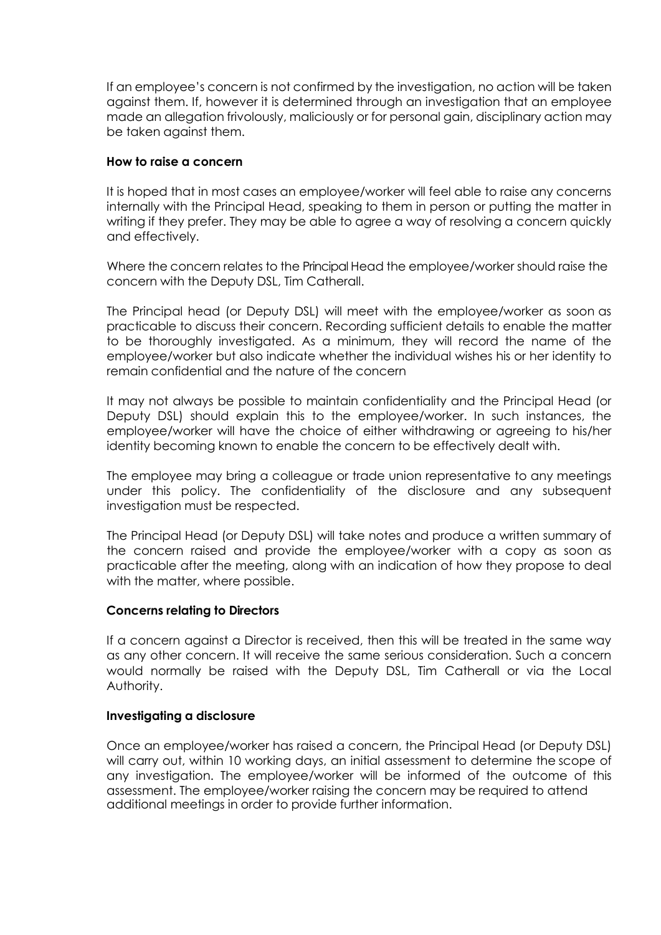If an employee's concern is not confirmed by the investigation, no action will be taken against them. If, however it is determined through an investigation that an employee made an allegation frivolously, maliciously or for personal gain, disciplinary action may be taken against them.

#### <span id="page-3-0"></span>**How to raise a concern**

It is hoped that in most cases an employee/worker will feel able to raise any concerns internally with the Principal Head, speaking to them in person or putting the matter in writing if they prefer. They may be able to agree a way of resolving a concern quickly and effectively.

Where the concern relates to the Principal Head the employee/worker should raise the concern with the Deputy DSL, Tim Catherall.

The Principal head (or Deputy DSL) will meet with the employee/worker as soon as practicable to discuss their concern. Recording sufficient details to enable the matter to be thoroughly investigated. As a minimum, they will record the name of the employee/worker but also indicate whether the individual wishes his or her identity to remain confidential and the nature of the concern

It may not always be possible to maintain confidentiality and the Principal Head (or Deputy DSL) should explain this to the employee/worker. In such instances, the employee/worker will have the choice of either withdrawing or agreeing to his/her identity becoming known to enable the concern to be effectively dealt with.

The employee may bring a colleague or trade union representative to any meetings under this policy. The confidentiality of the disclosure and any subsequent investigation must be respected.

The Principal Head (or Deputy DSL) will take notes and produce a written summary of the concern raised and provide the employee/worker with a copy as soon as practicable after the meeting, along with an indication of how they propose to deal with the matter, where possible.

#### <span id="page-3-1"></span>**Concerns relating to Directors**

If a concern against a Director is received, then this will be treated in the same way as any other concern. It will receive the same serious consideration. Such a concern would normally be raised with the Deputy DSL, Tim Catherall or via the Local Authority.

#### <span id="page-3-2"></span>**Investigating a disclosure**

Once an employee/worker has raised a concern, the Principal Head (or Deputy DSL) will carry out, within 10 working days, an initial assessment to determine the scope of any investigation. The employee/worker will be informed of the outcome of this assessment. The employee/worker raising the concern may be required to attend additional meetings in order to provide further information.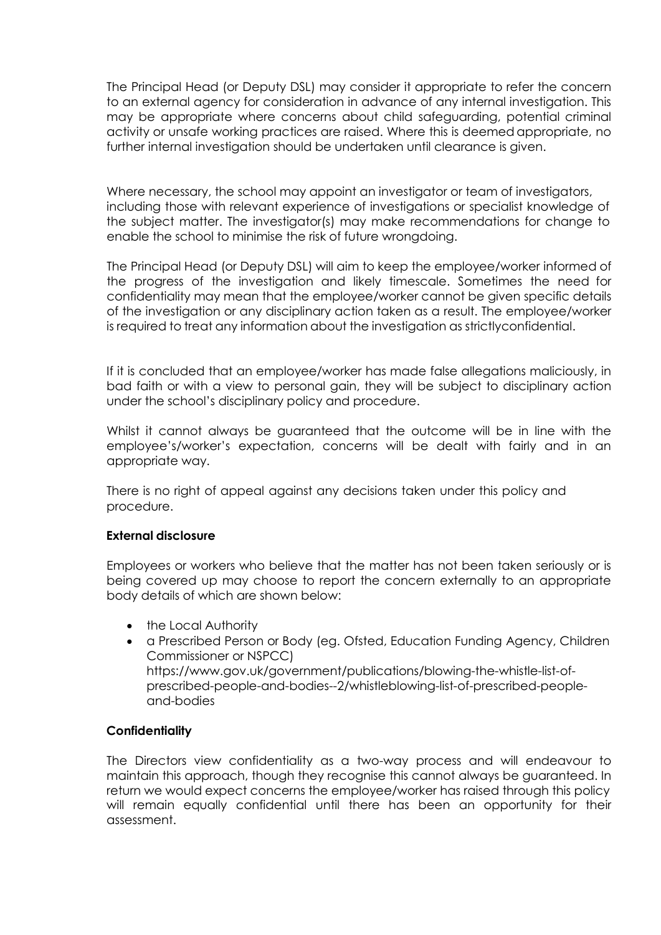The Principal Head (or Deputy DSL) may consider it appropriate to refer the concern to an external agency for consideration in advance of any internal investigation. This may be appropriate where concerns about child safeguarding, potential criminal activity or unsafe working practices are raised. Where this is deemed appropriate, no further internal investigation should be undertaken until clearance is given.

Where necessary, the school may appoint an investigator or team of investigators, including those with relevant experience of investigations or specialist knowledge of the subject matter. The investigator(s) may make recommendations for change to enable the school to minimise the risk of future wrongdoing.

The Principal Head (or Deputy DSL) will aim to keep the employee/worker informed of the progress of the investigation and likely timescale. Sometimes the need for confidentiality may mean that the employee/worker cannot be given specific details of the investigation or any disciplinary action taken as a result. The employee/worker is required to treat any information about the investigation as strictlyconfidential.

If it is concluded that an employee/worker has made false allegations maliciously, in bad faith or with a view to personal gain, they will be subject to disciplinary action under the school's disciplinary policy and procedure.

Whilst it cannot always be guaranteed that the outcome will be in line with the employee's/worker's expectation, concerns will be dealt with fairly and in an appropriate way.

There is no right of appeal against any decisions taken under this policy and procedure.

#### <span id="page-4-0"></span>**External disclosure**

Employees or workers who believe that the matter has not been taken seriously or is being covered up may choose to report the concern externally to an appropriate body details of which are shown below:

- the Local Authority
- a Prescribed Person or Body (eg. Ofsted, Education Funding Agency, Children Commissioner or NSPCC) https:/[/www.gov.uk/government/publications/blowing-the-whistle-list-of](http://www.gov.uk/government/publications/blowing-the-whistle-list-of-)prescribed-people-and-bodies--2/whistleblowing-list-of-prescribed-peopleand-bodies

#### <span id="page-4-1"></span>**Confidentiality**

The Directors view confidentiality as a two-way process and will endeavour to maintain this approach, though they recognise this cannot always be guaranteed. In return we would expect concerns the employee/worker has raised through this policy will remain equally confidential until there has been an opportunity for their assessment.